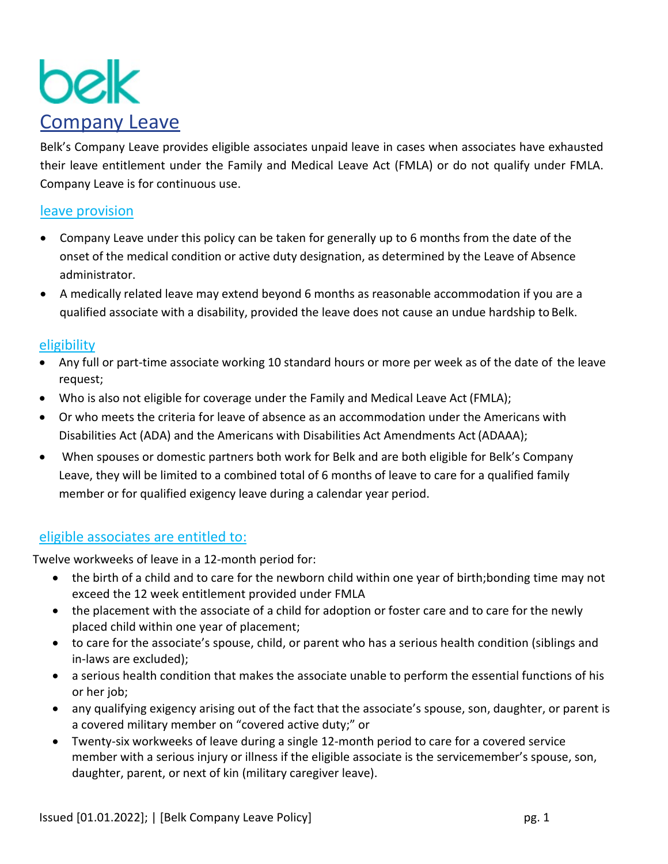

Belk's Company Leave provides eligible associates unpaid leave in cases when associates have exhausted their leave entitlement under the Family and Medical Leave Act (FMLA) or do not qualify under FMLA. Company Leave is for continuous use.

# leave provision

- Company Leave under this policy can be taken for generally up to 6 months from the date of the onset of the medical condition or active duty designation, as determined by the Leave of Absence administrator.
- A medically related leave may extend beyond 6 months as reasonable accommodation if you are a qualified associate with a disability, provided the leave does not cause an undue hardship to Belk.

### eligibility

- Any full or part-time associate working 10 standard hours or more per week as of the date of the leave request;
- Who is also not eligible for coverage under the Family and Medical Leave Act (FMLA);
- Or who meets the criteria for leave of absence as an accommodation under the Americans with Disabilities Act (ADA) and the Americans with Disabilities Act Amendments Act(ADAAA);
- When spouses or domestic partners both work for Belk and are both eligible for Belk's Company Leave, they will be limited to a combined total of 6 months of leave to care for a qualified family member or for qualified exigency leave during a calendar year period.

# eligible associates are entitled to:

Twelve workweeks of leave in a 12-month period for:

- the birth of a child and to care for the newborn child within one year of birth;bonding time may not exceed the 12 week entitlement provided under FMLA
- the placement with the associate of a child for adoption or foster care and to care for the newly placed child within one year of placement;
- to care for the associate's spouse, child, or parent who has a serious health condition (siblings and in-laws are excluded);
- a serious health condition that makes the associate unable to perform the essential functions of his or her job;
- any qualifying exigency arising out of the fact that the associate's spouse, son, daughter, or parent is a covered military member on "covered active duty;" or
- Twenty-six workweeks of leave during a single 12-month period to care for a covered service member with a serious injury or illness if the eligible associate is the servicemember's spouse, son, daughter, parent, or next of kin (military caregiver leave).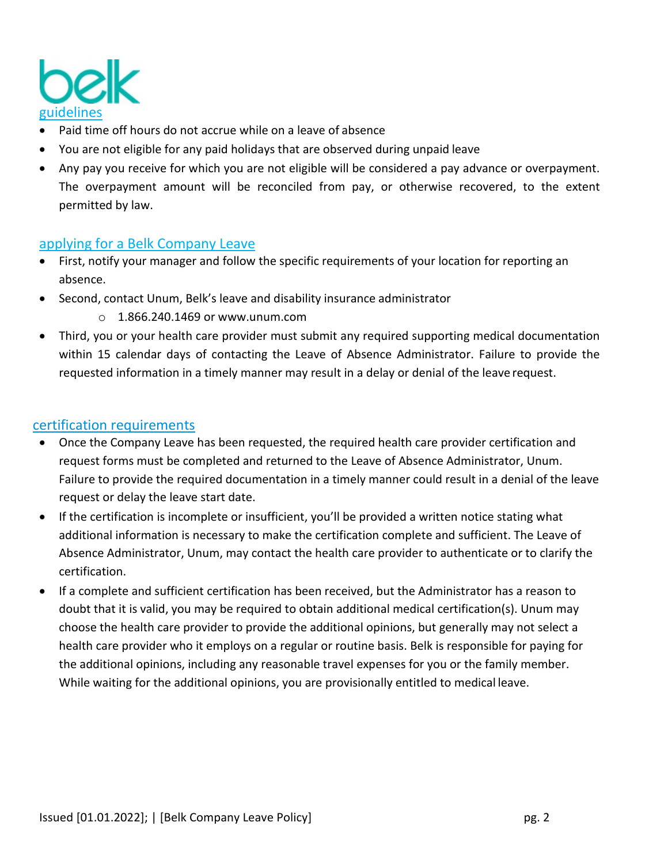

- Paid time off hours do not accrue while on a leave of absence
- You are not eligible for any paid holidays that are observed during unpaid leave
- Any pay you receive for which you are not eligible will be considered a pay advance or overpayment. The overpayment amount will be reconciled from pay, or otherwise recovered, to the extent permitted by law.

# applying for a Belk Company Leave

- First, notify your manager and follow the specific requirements of your location for reporting an absence.
- Second, contact Unum, Belk's leave and disability insurance administrator
	- $\circ$  1.866.240.1469 or [www.unum.com](http://www.mylibertyconnection.com/)
- Third, you or your health care provider must submit any required supporting medical documentation within 15 calendar days of contacting the Leave of Absence Administrator. Failure to provide the requested information in a timely manner may result in a delay or denial of the leave request.

# certification requirements

- Once the Company Leave has been requested, the required health care provider certification and request forms must be completed and returned to the Leave of Absence Administrator, Unum. Failure to provide the required documentation in a timely manner could result in a denial of the leave request or delay the leave start date.
- If the certification is incomplete or insufficient, you'll be provided a written notice stating what additional information is necessary to make the certification complete and sufficient. The Leave of Absence Administrator, Unum, may contact the health care provider to authenticate or to clarify the certification.
- If a complete and sufficient certification has been received, but the Administrator has a reason to doubt that it is valid, you may be required to obtain additional medical certification(s). Unum may choose the health care provider to provide the additional opinions, but generally may not select a health care provider who it employs on a regular or routine basis. Belk is responsible for paying for the additional opinions, including any reasonable travel expenses for you or the family member. While waiting for the additional opinions, you are provisionally entitled to medical leave.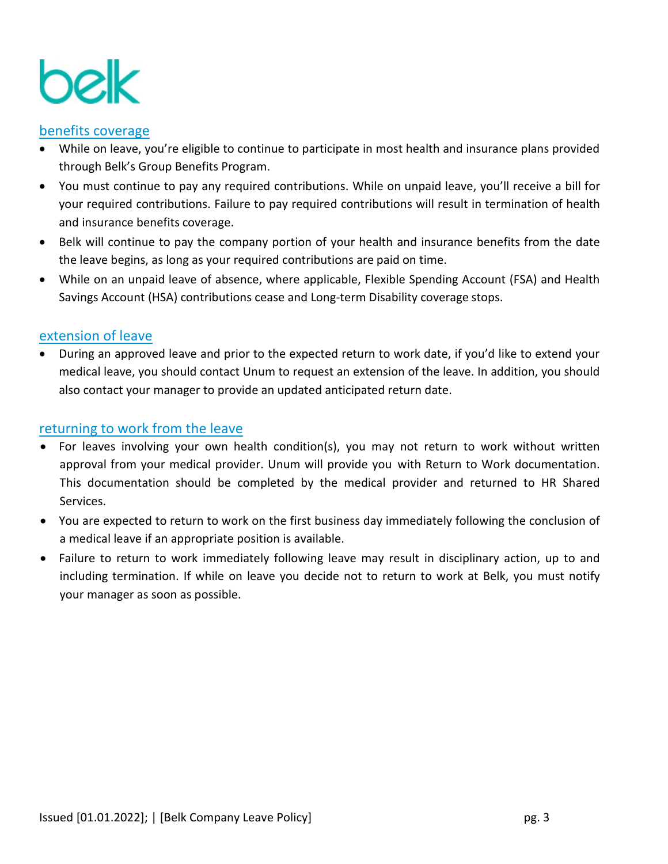

# benefits coverage

- While on leave, you're eligible to continue to participate in most health and insurance plans provided through Belk's Group Benefits Program.
- You must continue to pay any required contributions. While on unpaid leave, you'll receive a bill for your required contributions. Failure to pay required contributions will result in termination of health and insurance benefits coverage.
- Belk will continue to pay the company portion of your health and insurance benefits from the date the leave begins, as long as your required contributions are paid on time.
- While on an unpaid leave of absence, where applicable, Flexible Spending Account (FSA) and Health Savings Account (HSA) contributions cease and Long-term Disability coverage stops.

### extension of leave

• During an approved leave and prior to the expected return to work date, if you'd like to extend your medical leave, you should contact Unum to request an extension of the leave. In addition, you should also contact your manager to provide an updated anticipated return date.

### returning to work from the leave

- For leaves involving your own health condition(s), you may not return to work without written approval from your medical provider. Unum will provide you with Return to Work documentation. This documentation should be completed by the medical provider and returned to HR Shared Services.
- You are expected to return to work on the first business day immediately following the conclusion of a medical leave if an appropriate position is available.
- Failure to return to work immediately following leave may result in disciplinary action, up to and including termination. If while on leave you decide not to return to work at Belk, you must notify your manager as soon as possible.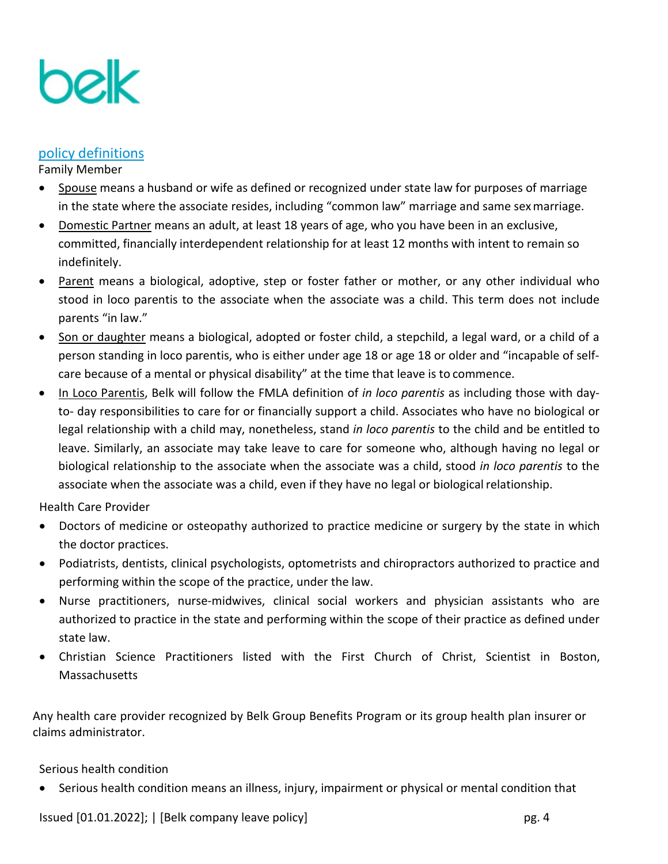

### policy definitions

Family Member

- Spouse means a husband or wife as defined or recognized under state law for purposes of marriage in the state where the associate resides, including "common law" marriage and same sexmarriage.
- Domestic Partner means an adult, at least 18 years of age, who you have been in an exclusive, committed, financially interdependent relationship for at least 12 months with intent to remain so indefinitely.
- Parent means a biological, adoptive, step or foster father or mother, or any other individual who stood in loco parentis to the associate when the associate was a child. This term does not include parents "in law."
- Son or daughter means a biological, adopted or foster child, a stepchild, a legal ward, or a child of a person standing in loco parentis, who is either under age 18 or age 18 or older and "incapable of selfcare because of a mental or physical disability" at the time that leave is to commence.
- In Loco Parentis, Belk will follow the FMLA definition of *in loco parentis* as including those with dayto- day responsibilities to care for or financially support a child. Associates who have no biological or legal relationship with a child may, nonetheless, stand *in loco parentis* to the child and be entitled to leave. Similarly, an associate may take leave to care for someone who, although having no legal or biological relationship to the associate when the associate was a child, stood *in loco parentis* to the associate when the associate was a child, even if they have no legal or biological relationship.

Health Care Provider

- Doctors of medicine or osteopathy authorized to practice medicine or surgery by the state in which the doctor practices.
- Podiatrists, dentists, clinical psychologists, optometrists and chiropractors authorized to practice and performing within the scope of the practice, under the law.
- Nurse practitioners, nurse-midwives, clinical social workers and physician assistants who are authorized to practice in the state and performing within the scope of their practice as defined under state law.
- Christian Science Practitioners listed with the First Church of Christ, Scientist in Boston, **Massachusetts**

Any health care provider recognized by Belk Group Benefits Program or its group health plan insurer or claims administrator.

Serious health condition

• Serious health condition means an illness, injury, impairment or physical or mental condition that

Issued [01.01.2022]; | [Belk company leave policy] pg. 4